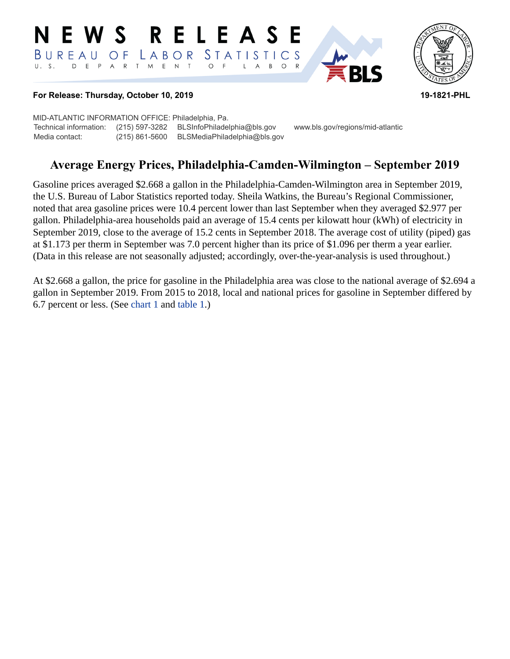#### **RELEASE** E W S *STATISTICS* BUREAU  $\overline{O}$  F LABOR D E P A R T M E N T  $U. S.$  $\circ$  $\overline{F}$  $B$  $\circ$  $\mathsf{R}$  $\mathsf{L}$  $\overline{\mathsf{A}}$



#### **For Release: Thursday, October 10, 2019 19-1821-PHL**

MID-ATLANTIC INFORMATION OFFICE: Philadelphia, Pa. Technical information: (215) 597-3282 BLSInfoPhiladelphia@bls.gov www.bls.gov/regions/mid-atlantic Media contact: (215) 861-5600 BLSMediaPhiladelphia@bls.gov

# **Average Energy Prices, Philadelphia-Camden-Wilmington – September 2019**

Gasoline prices averaged \$2.668 a gallon in the Philadelphia-Camden-Wilmington area in September 2019, the U.S. Bureau of Labor Statistics reported today. Sheila Watkins, the Bureau's Regional Commissioner, noted that area gasoline prices were 10.4 percent lower than last September when they averaged \$2.977 per gallon. Philadelphia-area households paid an average of 15.4 cents per kilowatt hour (kWh) of electricity in September 2019, close to the average of 15.2 cents in September 2018. The average cost of utility (piped) gas at \$1.173 per therm in September was 7.0 percent higher than its price of \$1.096 per therm a year earlier. (Data in this release are not seasonally adjusted; accordingly, over-the-year-analysis is used throughout.)

At \$2.668 a gallon, the price for gasoline in the Philadelphia area was close to the national average of \$2.694 a gallon in September 2019. From 2015 to 2018, local and national prices for gasoline in September differed by 6.7 percent or less. (See [chart 1](#page-1-0) and [table 1.](#page-5-0))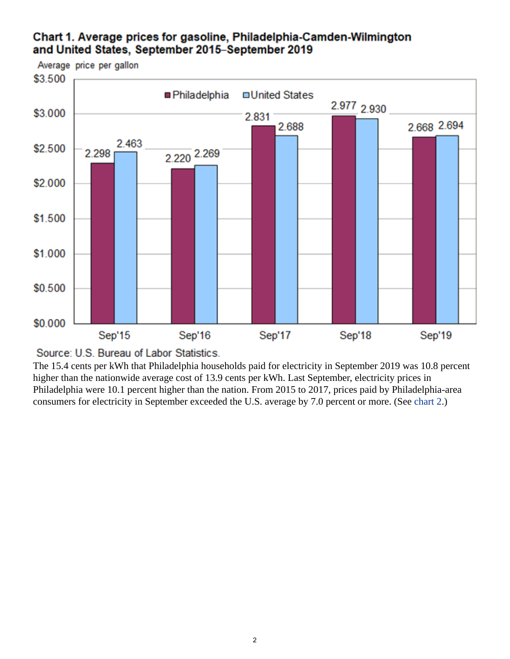# <span id="page-1-0"></span>Chart 1. Average prices for gasoline, Philadelphia-Camden-Wilmington and United States, September 2015-September 2019





The 15.4 cents per kWh that Philadelphia households paid for electricity in September 2019 was 10.8 percent higher than the nationwide average cost of 13.9 cents per kWh. Last September, electricity prices in Philadelphia were 10.1 percent higher than the nation. From 2015 to 2017, prices paid by Philadelphia-area consumers for electricity in September exceeded the U.S. average by 7.0 percent or more. (See [chart 2](#page-2-0).)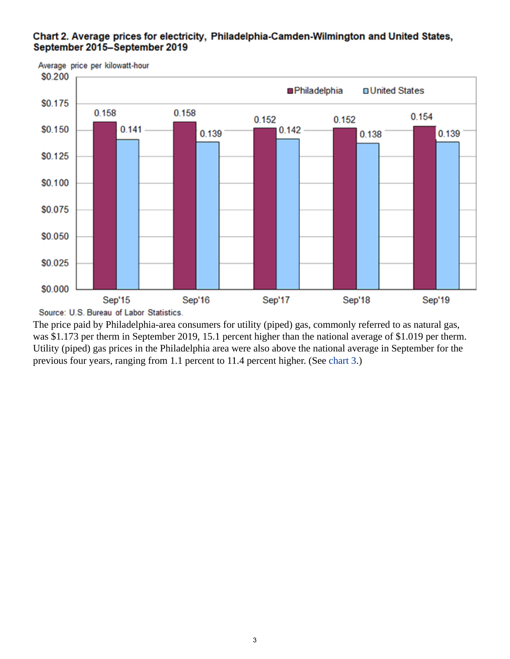#### <span id="page-2-0"></span>Chart 2. Average prices for electricity, Philadelphia-Camden-Wilmington and United States, September 2015-September 2019



Source: U.S. Bureau of Labor Statistics.

The price paid by Philadelphia-area consumers for utility (piped) gas, commonly referred to as natural gas, was \$1.173 per therm in September 2019, 15.1 percent higher than the national average of \$1.019 per therm. Utility (piped) gas prices in the Philadelphia area were also above the national average in September for the previous four years, ranging from 1.1 percent to 11.4 percent higher. (See [chart 3.](#page-3-0))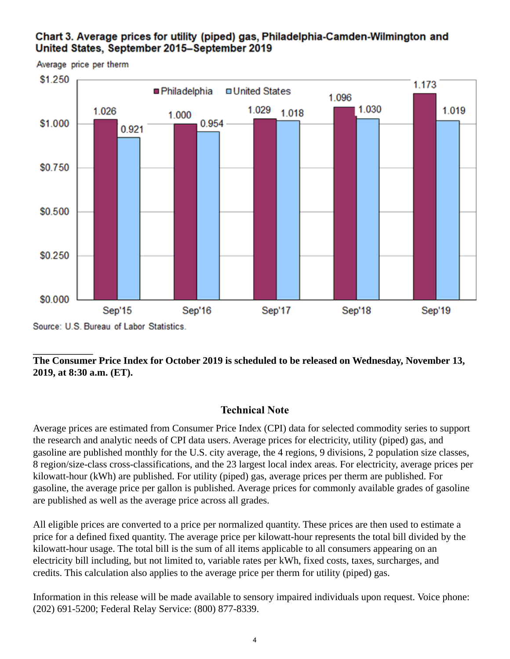## <span id="page-3-0"></span>Chart 3. Average prices for utility (piped) gas, Philadelphia-Camden-Wilmington and United States, September 2015–September 2019



Average price per therm

### **The Consumer Price Index for October 2019 is scheduled to be released on Wednesday, November 13, 2019, at 8:30 a.m. (ET).**

#### **Technical Note**

Average prices are estimated from Consumer Price Index (CPI) data for selected commodity series to support the research and analytic needs of CPI data users. Average prices for electricity, utility (piped) gas, and gasoline are published monthly for the U.S. city average, the 4 regions, 9 divisions, 2 population size classes, 8 region/size-class cross-classifications, and the 23 largest local index areas. For electricity, average prices per kilowatt-hour (kWh) are published. For utility (piped) gas, average prices per therm are published. For gasoline, the average price per gallon is published. Average prices for commonly available grades of gasoline are published as well as the average price across all grades.

All eligible prices are converted to a price per normalized quantity. These prices are then used to estimate a price for a defined fixed quantity. The average price per kilowatt-hour represents the total bill divided by the kilowatt-hour usage. The total bill is the sum of all items applicable to all consumers appearing on an electricity bill including, but not limited to, variable rates per kWh, fixed costs, taxes, surcharges, and credits. This calculation also applies to the average price per therm for utility (piped) gas.

Information in this release will be made available to sensory impaired individuals upon request. Voice phone: (202) 691-5200; Federal Relay Service: (800) 877-8339.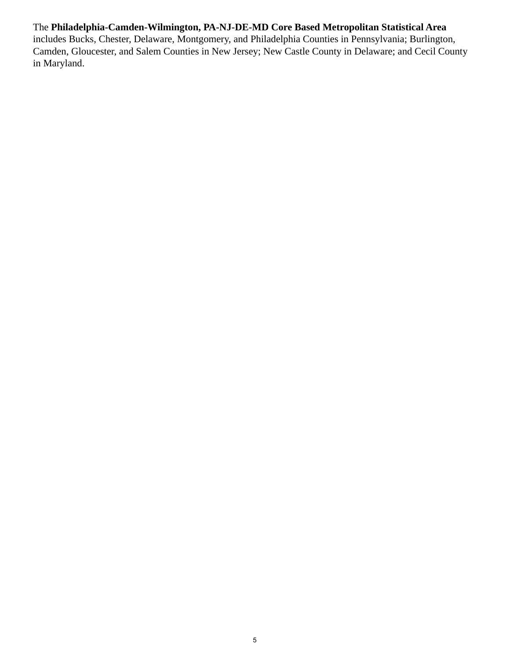## The **Philadelphia-Camden-Wilmington, PA-NJ-DE-MD Core Based Metropolitan Statistical Area**

includes Bucks, Chester, Delaware, Montgomery, and Philadelphia Counties in Pennsylvania; Burlington, Camden, Gloucester, and Salem Counties in New Jersey; New Castle County in Delaware; and Cecil County in Maryland.